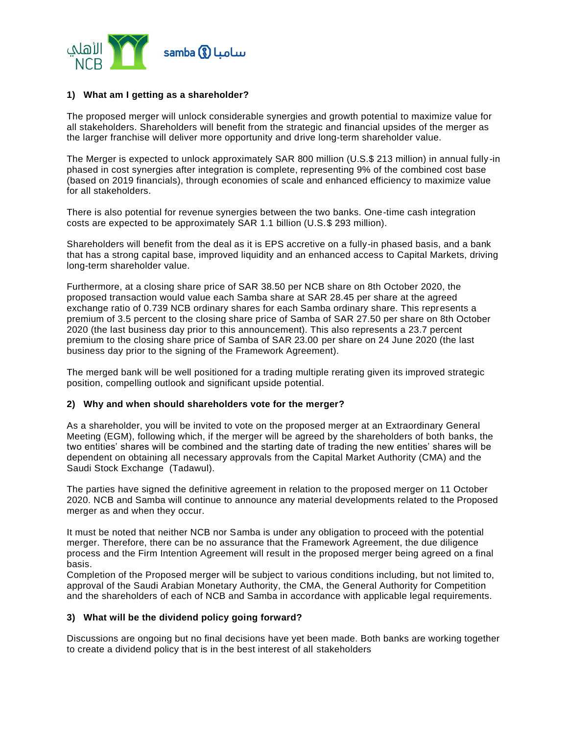

# **1) What am I getting as a shareholder?**

The proposed merger will unlock considerable synergies and growth potential to maximize value for all stakeholders. Shareholders will benefit from the strategic and financial upsides of the merger as the larger franchise will deliver more opportunity and drive long-term shareholder value.

The Merger is expected to unlock approximately SAR 800 million (U.S.\$ 213 million) in annual fully -in phased in cost synergies after integration is complete, representing 9% of the combined cost base (based on 2019 financials), through economies of scale and enhanced efficiency to maximize value for all stakeholders.

There is also potential for revenue synergies between the two banks. One-time cash integration costs are expected to be approximately SAR 1.1 billion (U.S.\$ 293 million).

Shareholders will benefit from the deal as it is EPS accretive on a fully-in phased basis, and a bank that has a strong capital base, improved liquidity and an enhanced access to Capital Markets, driving long-term shareholder value.

Furthermore, at a closing share price of SAR 38.50 per NCB share on 8th October 2020, the proposed transaction would value each Samba share at SAR 28.45 per share at the agreed exchange ratio of 0.739 NCB ordinary shares for each Samba ordinary share. This represents a premium of 3.5 percent to the closing share price of Samba of SAR 27.50 per share on 8th October 2020 (the last business day prior to this announcement). This also represents a 23.7 percent premium to the closing share price of Samba of SAR 23.00 per share on 24 June 2020 (the last business day prior to the signing of the Framework Agreement).

The merged bank will be well positioned for a trading multiple rerating given its improved strategic position, compelling outlook and significant upside potential.

#### **2) Why and when should shareholders vote for the merger?**

As a shareholder, you will be invited to vote on the proposed merger at an Extraordinary General Meeting (EGM), following which, if the merger will be agreed by the shareholders of both banks, the two entities' shares will be combined and the starting date of trading the new entities' shares will be dependent on obtaining all necessary approvals from the Capital Market Authority (CMA) and the Saudi Stock Exchange (Tadawul).

The parties have signed the definitive agreement in relation to the proposed merger on 11 October 2020. NCB and Samba will continue to announce any material developments related to the Proposed merger as and when they occur.

It must be noted that neither NCB nor Samba is under any obligation to proceed with the potential merger. Therefore, there can be no assurance that the Framework Agreement, the due diligence process and the Firm Intention Agreement will result in the proposed merger being agreed on a final basis.

Completion of the Proposed merger will be subject to various conditions including, but not limited to, approval of the Saudi Arabian Monetary Authority, the CMA, the General Authority for Competition and the shareholders of each of NCB and Samba in accordance with applicable legal requirements.

## **3) What will be the dividend policy going forward?**

Discussions are ongoing but no final decisions have yet been made. Both banks are working together to create a dividend policy that is in the best interest of all stakeholders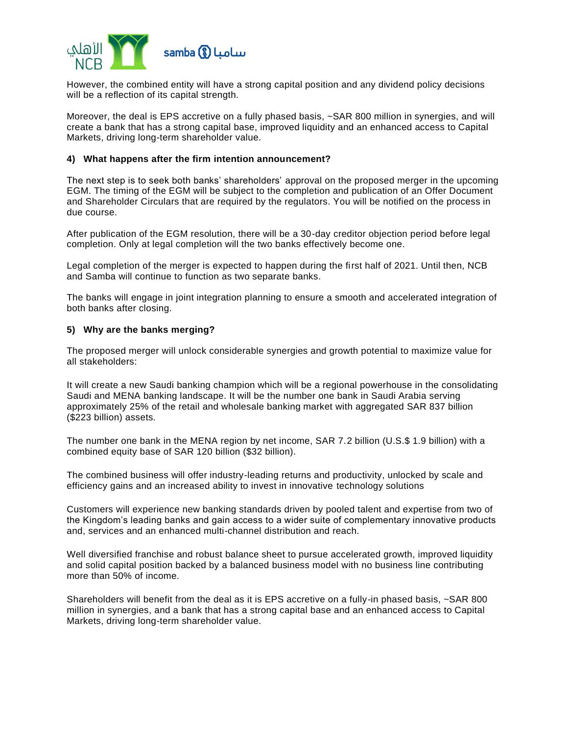

However, the combined entity will have a strong capital position and any dividend policy decisions will be a reflection of its capital strength.

Moreover, the deal is EPS accretive on a fully phased basis, ~SAR 800 million in synergies, and will create a bank that has a strong capital base, improved liquidity and an enhanced access to Capital Markets, driving long-term shareholder value.

## **4) What happens after the firm intention announcement?**

The next step is to seek both banks' shareholders' approval on the proposed merger in the upcoming EGM. The timing of the EGM will be subject to the completion and publication of an Offer Document and Shareholder Circulars that are required by the regulators. You will be notified on the process in due course.

After publication of the EGM resolution, there will be a 30-day creditor objection period before legal completion. Only at legal completion will the two banks effectively become one.

Legal completion of the merger is expected to happen during the first half of 2021. Until then, NCB and Samba will continue to function as two separate banks.

The banks will engage in joint integration planning to ensure a smooth and accelerated integration of both banks after closing.

### **5) Why are the banks merging?**

The proposed merger will unlock considerable synergies and growth potential to maximize value for all stakeholders:

It will create a new Saudi banking champion which will be a regional powerhouse in the consolidating Saudi and MENA banking landscape. It will be the number one bank in Saudi Arabia serving approximately 25% of the retail and wholesale banking market with aggregated SAR 837 billion (\$223 billion) assets.

The number one bank in the MENA region by net income, SAR 7.2 billion (U.S.\$ 1.9 billion) with a combined equity base of SAR 120 billion (\$32 billion).

The combined business will offer industry-leading returns and productivity, unlocked by scale and efficiency gains and an increased ability to invest in innovative technology solutions

Customers will experience new banking standards driven by pooled talent and expertise from two of the Kingdom's leading banks and gain access to a wider suite of complementary innovative products and, services and an enhanced multi-channel distribution and reach.

Well diversified franchise and robust balance sheet to pursue accelerated growth, improved liquidity and solid capital position backed by a balanced business model with no business line contributing more than 50% of income.

Shareholders will benefit from the deal as it is EPS accretive on a fully-in phased basis, ~SAR 800 million in synergies, and a bank that has a strong capital base and an enhanced access to Capital Markets, driving long-term shareholder value.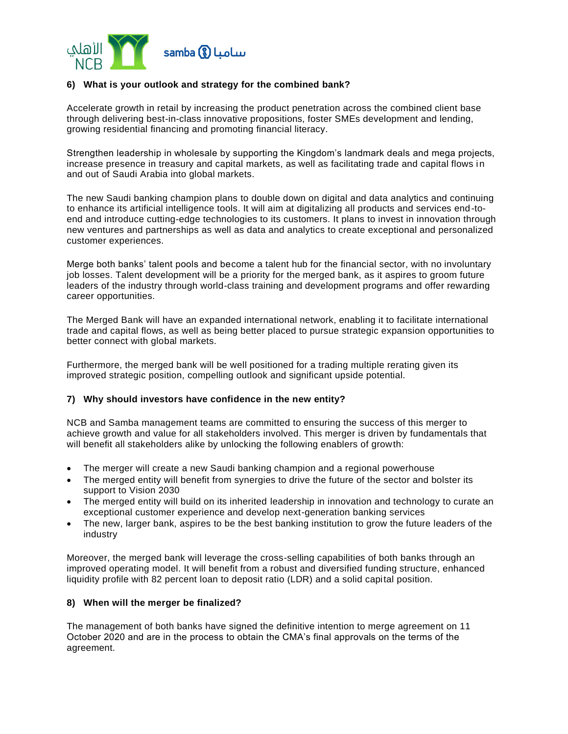

# **6) What is your outlook and strategy for the combined bank?**

Accelerate growth in retail by increasing the product penetration across the combined client base through delivering best-in-class innovative propositions, foster SMEs development and lending, growing residential financing and promoting financial literacy.

Strengthen leadership in wholesale by supporting the Kingdom's landmark deals and mega projects, increase presence in treasury and capital markets, as well as facilitating trade and capital flows in and out of Saudi Arabia into global markets.

The new Saudi banking champion plans to double down on digital and data analytics and continuing to enhance its artificial intelligence tools. It will aim at digitalizing all products and services end-toend and introduce cutting-edge technologies to its customers. It plans to invest in innovation through new ventures and partnerships as well as data and analytics to create exceptional and personalized customer experiences.

Merge both banks' talent pools and become a talent hub for the financial sector, with no involuntary job losses. Talent development will be a priority for the merged bank, as it aspires to groom future leaders of the industry through world-class training and development programs and offer rewarding career opportunities.

The Merged Bank will have an expanded international network, enabling it to facilitate international trade and capital flows, as well as being better placed to pursue strategic expansion opportunities to better connect with global markets.

Furthermore, the merged bank will be well positioned for a trading multiple rerating given its improved strategic position, compelling outlook and significant upside potential.

## **7) Why should investors have confidence in the new entity?**

NCB and Samba management teams are committed to ensuring the success of this merger to achieve growth and value for all stakeholders involved. This merger is driven by fundamentals that will benefit all stakeholders alike by unlocking the following enablers of growth:

- The merger will create a new Saudi banking champion and a regional powerhouse
- The merged entity will benefit from synergies to drive the future of the sector and bolster its support to Vision 2030
- The merged entity will build on its inherited leadership in innovation and technology to curate an exceptional customer experience and develop next-generation banking services
- The new, larger bank, aspires to be the best banking institution to grow the future leaders of the industry

Moreover, the merged bank will leverage the cross-selling capabilities of both banks through an improved operating model. It will benefit from a robust and diversified funding structure, enhanced liquidity profile with 82 percent loan to deposit ratio (LDR) and a solid capital position.

## **8) When will the merger be finalized?**

The management of both banks have signed the definitive intention to merge agreement on 11 October 2020 and are in the process to obtain the CMA's final approvals on the terms of the agreement.